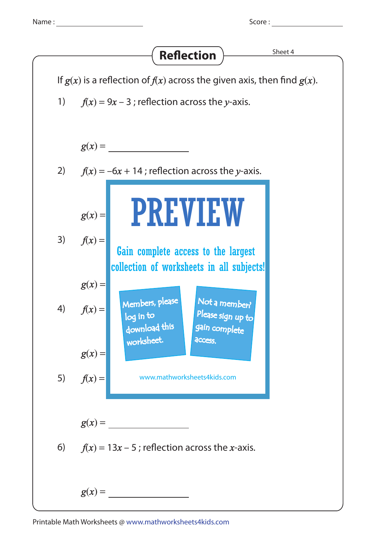